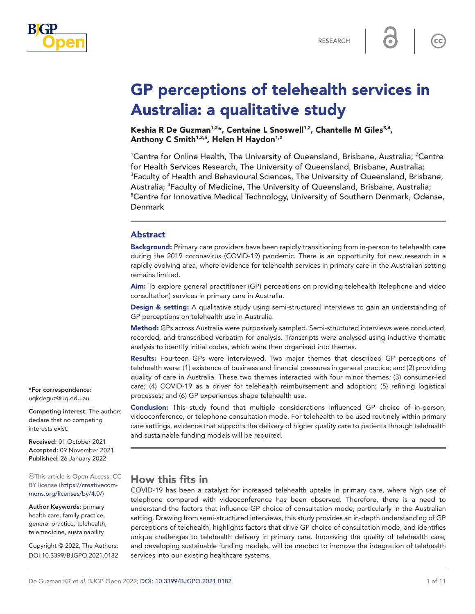

 $cc$ 

# GP perceptions of telehealth services in Australia: a qualitative study

Keshia R De Guzman<sup>1,2\*</sup>, Centaine L Snoswell<sup>1,2</sup>, Chantelle M Giles<sup>3,4</sup>, Anthony C Smith<sup>1,2,5</sup>, Helen H Haydon<sup>1,2</sup>

<sup>1</sup>Centre for Online Health, The University of Queensland, Brisbane, Australia; <sup>2</sup>Centre for Health Services Research, The University of Queensland, Brisbane, Australia; <sup>3</sup>Faculty of Health and Behavioural Sciences, The University of Queensland, Brisbane, Australia; <sup>4</sup>Faculty of Medicine, The University of Queensland, Brisbane, Australia;<br><sup>5</sup>Centre for Innovative Medical Technology, University of Southern Denmark, Oden <sup>5</sup> Centre for Innovative Medical Technology, University of Southern Denmark, Odense, Denmark

#### Abstract

Background: Primary care providers have been rapidly transitioning from in-person to telehealth care during the 2019 coronavirus (COVID-19) pandemic. There is an opportunity for new research in a rapidly evolving area, where evidence for telehealth services in primary care in the Australian setting remains limited.

Aim: To explore general practitioner (GP) perceptions on providing telehealth (telephone and video consultation) services in primary care in Australia.

Design & setting: A qualitative study using semi-structured interviews to gain an understanding of GP perceptions on telehealth use in Australia.

Method: GPs across Australia were purposively sampled. Semi-structured interviews were conducted, recorded, and transcribed verbatim for analysis. Transcripts were analysed using inductive thematic analysis to identify initial codes, which were then organised into themes.

Results: Fourteen GPs were interviewed. Two major themes that described GP perceptions of telehealth were: (1) existence of business and financial pressures in general practice; and (2) providing quality of care in Australia. These two themes interacted with four minor themes*:* (3) consumer-led care; (4) COVID-19 as a driver for telehealth reimbursement and adoption; (5) refining logistical processes; and (6) GP experiences shape telehealth use.

**Conclusion:** This study found that multiple considerations influenced GP choice of in-person, videoconference, or telephone consultation mode. For telehealth to be used routinely within primary care settings, evidence that supports the delivery of higher quality care to patients through telehealth and sustainable funding models will be required.

## How this fits in

COVID-19 has been a catalyst for increased telehealth uptake in primary care, where high use of telephone compared with videoconference has been observed. Therefore, there is a need to understand the factors that influence GP choice of consultation mode, particularly in the Australian setting. Drawing from semi-structured interviews, this study provides an in-depth understanding of GP perceptions of telehealth, highlights factors that drive GP choice of consultation mode, and identifies unique challenges to telehealth delivery in primary care. Improving the quality of telehealth care, and developing sustainable funding models, will be needed to improve the integration of telehealth services into our existing healthcare systems.

\*For correspondence: [uqkdeguz@uq.edu.au](mailto:uqkdeguz@uq.edu.au)

Competing interest: The authors declare that no competing interests exist.

Received: 01 October 2021 Accepted: 09 November 2021 Published: 26 January 2022

This article is Open Access: CC BY license [\(https://creativecom](https://creativecommons.org/licenses/by/4.0/)[mons.org/licenses/by/4.0/\)](https://creativecommons.org/licenses/by/4.0/)

Author Keywords: primary health care, family practice, general practice, telehealth, telemedicine, sustainability

Copyright © 2022, The Authors; DOI:10.3399/BJGPO.2021.0182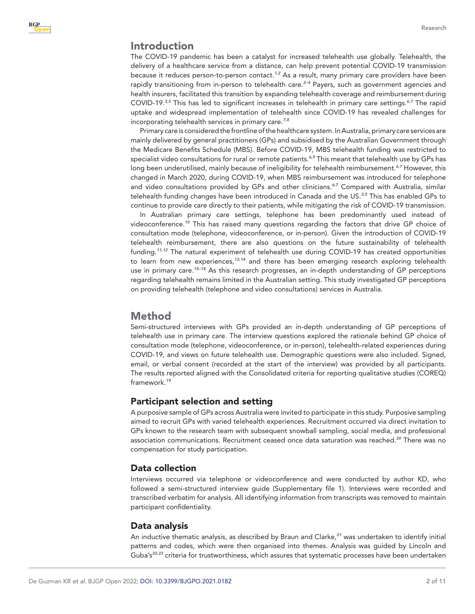## Introduction

The COVID-19 pandemic has been a catalyst for increased telehealth use globally. Telehealth, the delivery of a healthcare service from a distance, can help prevent potential COVID-19 transmission because it reduces person-to-person contact.*[1,2](#page-9-0)* As a result, many primary care providers have been rapidly transitioning from in-person to telehealth care.*[2–4](#page-9-1)* Payers, such as government agencies and health insurers, facilitated this transition by expanding telehealth coverage and reimbursement during COVID-19.*[3,5](#page-9-2)* This has led to significant increases in telehealth in primary care settings.*[6,7](#page-9-3)* The rapid uptake and widespread implementation of telehealth since COVID-19 has revealed challenges for incorporating telehealth services in primary care.*[7,8](#page-9-4)*

Primary care is considered the frontline of the healthcare system. In Australia, primary care services are mainly delivered by general practitioners (GPs) and subsidised by the Australian Government through the Medicare Benefits Schedule (MBS). Before COVID-19, MBS telehealth funding was restricted to specialist video consultations for rural or remote patients.*[6,9](#page-9-3)* This meant that telehealth use by GPs has long been underutilised, mainly because of ineligibility for telehealth reimbursement.*[6,7](#page-9-3)* However, this changed in March 2020, during COVID-19, when MBS reimbursement was introduced for telephone and video consultations provided by GPs and other clinicians.*[6,7](#page-9-3)* Compared with Australia, similar telehealth funding changes have been introduced in Canada and the US.*[3,5](#page-9-2)* This has enabled GPs to continue to provide care directly to their patients, while mitigating the risk of COVID-19 transmission.

In Australian primary care settings, telephone has been predominantly used instead of videoconference.*[10](#page-9-5)* This has raised many questions regarding the factors that drive GP choice of consultation mode (telephone, videoconference, or in-person). Given the introduction of COVID-19 telehealth reimbursement, there are also questions on the future sustainability of telehealth funding.*[11,12](#page-9-6)* The natural experiment of telehealth use during COVID-19 has created opportunities to learn from new experiences,*[13,14](#page-9-7)* and there has been emerging research exploring telehealth use in primary care.*[15–18](#page-9-8)* As this research progresses, an in-depth understanding of GP perceptions regarding telehealth remains limited in the Australian setting. This study investigated GP perceptions on providing telehealth (telephone and video consultations) services in Australia.

## Method

Semi-structured interviews with GPs provided an in-depth understanding of GP perceptions of telehealth use in primary care. The interview questions explored the rationale behind GP choice of consultation mode (telephone, videoconference, or in-person), telehealth-related experiences during COVID-19, and views on future telehealth use. Demographic questions were also included. Signed, email, or verbal consent (recorded at the start of the interview) was provided by all participants. The results reported aligned with the Consolidated criteria for reporting qualitative studies (COREQ) framework.*[19](#page-9-9)*

## Participant selection and setting

A purposive sample of GPs across Australia were invited to participate in this study. Purposive sampling aimed to recruit GPs with varied telehealth experiences. Recruitment occurred via direct invitation to GPs known to the research team with subsequent snowball sampling, social media, and professional association communications. Recruitment ceased once data saturation was reached.*[20](#page-9-10)* There was no compensation for study participation.

## Data collection

Interviews occurred via telephone or videoconference and were conducted by author KD, who followed a semi-structured interview guide (Supplementary file 1). Interviews were recorded and transcribed verbatim for analysis. All identifying information from transcripts was removed to maintain participant confidentiality.

#### Data analysis

An inductive thematic analysis, as described by Braun and Clarke,*[21](#page-9-11)* was undertaken to identify initial patterns and codes, which were then organised into themes. Analysis was guided by Lincoln and Guba's*[22,23](#page-10-0)* criteria for trustworthiness, which assures that systematic processes have been undertaken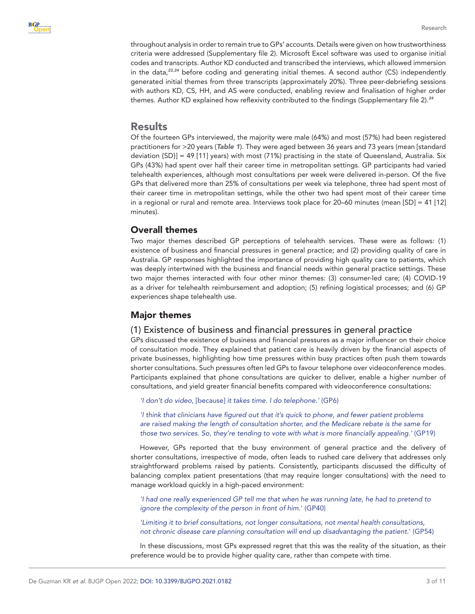throughout analysis in order to remain true to GPs' accounts. Details were given on how trustworthiness criteria were addressed (Supplementary file 2). Microsoft Excel software was used to organise initial codes and transcripts. Author KD conducted and transcribed the interviews, which allowed immersion in the data,*[22,24](#page-10-0)* before coding and generating initial themes. A second author (CS) independently generated initial themes from three transcripts (approximately 20%). Three peer-debriefing sessions with authors KD, CS, HH, and AS were conducted, enabling review and finalisation of higher order themes. Author KD explained how reflexivity contributed to the findings (Supplementary file 2).*[24](#page-10-1)*

## Results

Of the fourteen GPs interviewed, the majority were male (64%) and most (57%) had been registered practitioners for >20 years (*[Table 1](#page-3-0)*). They were aged between 36 years and 73 years (mean [standard deviation {SD}] = 49 [11] years) with most (71%) practising in the state of Queensland, Australia. Six GPs (43%) had spent over half their career time in metropolitan settings. GP participants had varied telehealth experiences, although most consultations per week were delivered in-person. Of the five GPs that delivered more than 25% of consultations per week via telephone, three had spent most of their career time in metropolitan settings, while the other two had spent most of their career time in a regional or rural and remote area. Interviews took place for 20–60 minutes (mean [SD] = 41 [12] minutes).

## Overall themes

Two major themes described GP perceptions of telehealth services. These were as follows: (1) existence of business and financial pressures in general practice; and (2) providing quality of care in Australia. GP responses highlighted the importance of providing high quality care to patients, which was deeply intertwined with the business and financial needs within general practice settings. These two major themes interacted with four other minor themes: (3) consumer-led care; (4) COVID-19 as a driver for telehealth reimbursement and adoption; (5) refining logistical processes; and (6) GP experiences shape telehealth use.

## Major themes

#### (1) Existence of business and financial pressures in general practice

GPs discussed the existence of business and financial pressures as a major influencer on their choice of consultation mode. They explained that patient care is heavily driven by the financial aspects of private businesses, highlighting how time pressures within busy practices often push them towards shorter consultations. Such pressures often led GPs to favour telephone over videoconference modes. Participants explained that phone consultations are quicker to deliver, enable a higher number of consultations, and yield greater financial benefits compared with videoconference consultations:

*'I don't do video,* [because] *it takes time. I do telephone.'* (GP6)

*'I think that clinicians have figured out that it's quick to phone, and fewer patient problems are raised making the length of consultation shorter, and the Medicare rebate is the same for those two services. So, they're tending to vote with what is more financially appealing.'* (GP19)

However, GPs reported that the busy environment of general practice and the delivery of shorter consultations, irrespective of mode, often leads to rushed care delivery that addresses only straightforward problems raised by patients. Consistently, participants discussed the difficulty of balancing complex patient presentations (that may require longer consultations) with the need to manage workload quickly in a high-paced environment:

*'I had one really experienced GP tell me that when he was running late, he had to pretend to ignore the complexity of the person in front of him.*' (GP40)

*'Limiting it to brief consultations, not longer consultations, not mental health consultations, not chronic disease care planning consultation will end up disadvantaging the patient.*' (GP54)

In these discussions, most GPs expressed regret that this was the reality of the situation, as their preference would be to provide higher quality care, rather than compete with time.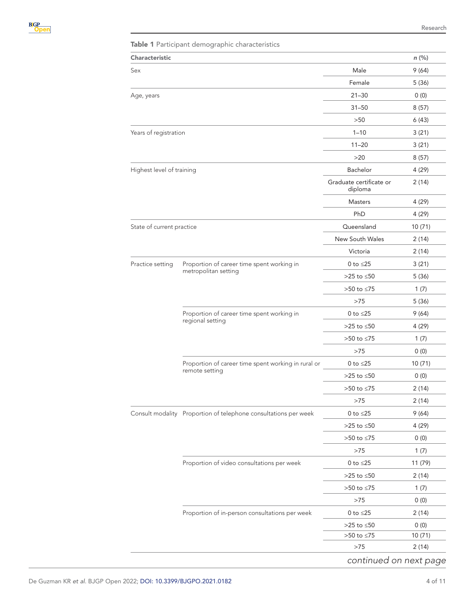<span id="page-3-0"></span>

| <b>Characteristic</b>     |                                                                       |                                    | $n$ (%) |
|---------------------------|-----------------------------------------------------------------------|------------------------------------|---------|
| Sex                       |                                                                       |                                    |         |
|                           |                                                                       | Male                               | 9(64)   |
|                           |                                                                       | Female                             | 5(36)   |
| Age, years                |                                                                       | $21 - 30$                          | 0(0)    |
|                           |                                                                       | $31 - 50$                          | 8(57)   |
|                           |                                                                       | >50                                | 6(43)   |
| Years of registration     |                                                                       | $1 - 10$                           | 3(21)   |
|                           |                                                                       | $11 - 20$                          | 3(21)   |
|                           |                                                                       | >20                                | 8(57)   |
| Highest level of training |                                                                       | Bachelor                           | 4 (29)  |
|                           |                                                                       | Graduate certificate or<br>diploma | 2(14)   |
|                           |                                                                       | <b>Masters</b>                     | 4 (29)  |
|                           |                                                                       | PhD                                | 4(29)   |
| State of current practice |                                                                       | Queensland                         | 10(71)  |
|                           |                                                                       | New South Wales                    | 2(14)   |
|                           |                                                                       | Victoria                           | 2(14)   |
| Practice setting          | Proportion of career time spent working in<br>metropolitan setting    | 0 to $\leq$ 25                     | 3(21)   |
|                           |                                                                       | $>25$ to $\leq 50$                 | 5(36)   |
|                           |                                                                       | $>50$ to $\leq 75$                 | 1(7)    |
|                           |                                                                       | >75                                | 5(36)   |
|                           | Proportion of career time spent working in<br>regional setting        | 0 to $\leq$ 25                     | 9(64)   |
|                           |                                                                       | >25 to $\leq 50$                   | 4(29)   |
|                           |                                                                       | $>50$ to $\leq 75$                 | 1(7)    |
|                           |                                                                       | >75                                | 0(0)    |
|                           | Proportion of career time spent working in rural or<br>remote setting | 0 to $\leq$ 25                     | 10(71)  |
|                           |                                                                       | $>25$ to $\leq 50$                 | 0(0)    |
|                           |                                                                       | >50 to ≤75                         | 2 (14)  |
|                           |                                                                       | >75                                | 2(14)   |
|                           | Consult modality Proportion of telephone consultations per week       | 0 to $\leq$ 25                     | 9(64)   |
|                           |                                                                       | $>25$ to $\leq 50$                 | 4 (29)  |
|                           |                                                                       | $>50$ to $\leq 75$                 | 0(0)    |
|                           |                                                                       | $>75$                              | 1(7)    |
|                           | Proportion of video consultations per week                            | 0 to $\leq$ 25                     | 11 (79) |
|                           |                                                                       | $>25$ to $\leq 50$                 | 2(14)   |
|                           |                                                                       | $>50$ to $\leq 75$                 | 1(7)    |
|                           |                                                                       | $>75$                              | 0(0)    |
|                           | Proportion of in-person consultations per week                        | 0 to $\leq$ 25                     | 2(14)   |
|                           |                                                                       | $>25$ to $\leq 50$                 | 0(0)    |
|                           |                                                                       | ${>}50$ to ${\le}75$               | 10 (71) |
|                           |                                                                       | $>75$                              | 2(14)   |
|                           |                                                                       | continued on next page             |         |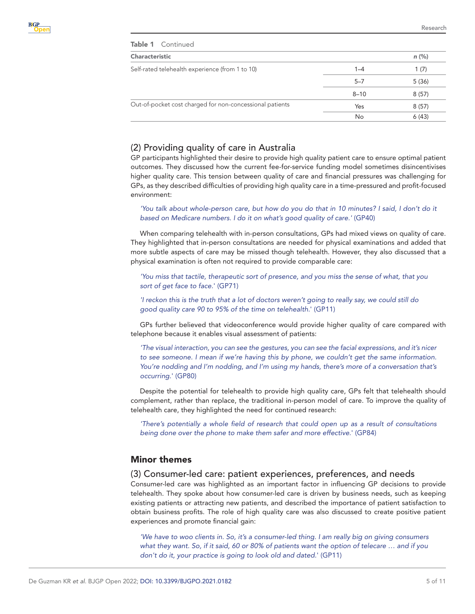| <b>Characteristic</b> |       |  |
|-----------------------|-------|--|
| $1 - 4$               | 1(7)  |  |
| $5 - 7$               | 5(36) |  |
| $8 - 10$              | 8(57) |  |
| Yes                   | 8(57) |  |
| No                    | 6(43) |  |
|                       |       |  |

## (2) Providing quality of care in Australia

GP participants highlighted their desire to provide high quality patient care to ensure optimal patient outcomes. They discussed how the current fee-for-service funding model sometimes disincentivises higher quality care. This tension between quality of care and financial pressures was challenging for GPs, as they described difficulties of providing high quality care in a time-pressured and profit-focused environment:

'You talk about whole-person care, but how do you do that in 10 minutes? I said, I don't do it *based on Medicare numbers. I do it on what's good quality of care.'* (GP40)

When comparing telehealth with in-person consultations, GPs had mixed views on quality of care. They highlighted that in-person consultations are needed for physical examinations and added that more subtle aspects of care may be missed though telehealth. However, they also discussed that a physical examination is often not required to provide comparable care:

*'You miss that tactile, therapeutic sort of presence, and you miss the sense of what, that you sort of get face to face.*' (GP71)

*'I reckon this is the truth that a lot of doctors weren't going to really say, we could still do good quality care 90 to 95% of the time on telehealth.*' (GP11)

GPs further believed that videoconference would provide higher quality of care compared with telephone because it enables visual assessment of patients:

*'The visual interaction, you can see the gestures, you can see the facial expressions, and it's nicer*  to see someone. I mean if we're having this by phone, we couldn't get the same information. *You're nodding and I'm nodding, and I'm using my hands, there's more of a conversation that's occurring.*' (GP80)

Despite the potential for telehealth to provide high quality care, GPs felt that telehealth should complement, rather than replace, the traditional in-person model of care. To improve the quality of telehealth care, they highlighted the need for continued research:

*'There's potentially a whole field of research that could open up as a result of consultations being done over the phone to make them safer and more effective.*' (GP84)

## Minor themes

#### (3) Consumer-led care: patient experiences, preferences, and needs

Consumer-led care was highlighted as an important factor in influencing GP decisions to provide telehealth. They spoke about how consumer-led care is driven by business needs, such as keeping existing patients or attracting new patients, and described the importance of patient satisfaction to obtain business profits. The role of high quality care was also discussed to create positive patient experiences and promote financial gain:

*'We have to woo clients in. So, it's a consumer-led thing. I am really big on giving consumers what they want. So, if it said, 60 or 80% of patients want the option of telecare … and if you don't do it, your practice is going to look old and dated.*' (GP11)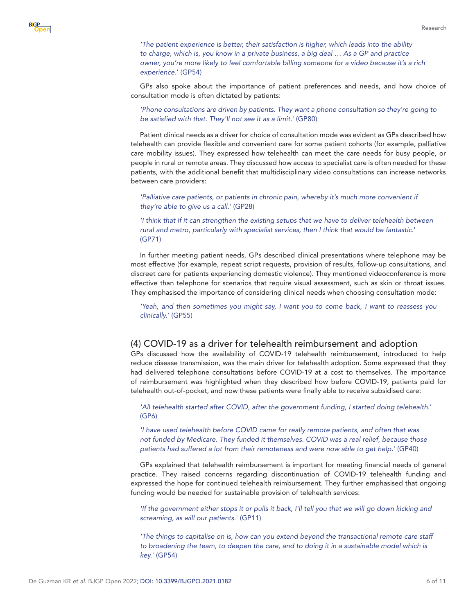*'The patient experience is better, their satisfaction is higher, which leads into the ability to charge, which is, you know in a private business, a big deal … As a GP and practice owner, you're more likely to feel comfortable billing someone for a video because it's a rich experience.*' (GP54)

GPs also spoke about the importance of patient preferences and needs, and how choice of consultation mode is often dictated by patients:

*'Phone consultations are driven by patients. They want a phone consultation so they're going to be satisfied with that. They'll not see it as a limit.*' (GP80)

Patient clinical needs as a driver for choice of consultation mode was evident as GPs described how telehealth can provide flexible and convenient care for some patient cohorts (for example, palliative care mobility issues). They expressed how telehealth can meet the care needs for busy people, or people in rural or remote areas. They discussed how access to specialist care is often needed for these patients, with the additional benefit that multidisciplinary video consultations can increase networks between care providers:

*'Palliative care patients, or patients in chronic pain, whereby it's much more convenient if they're able to give us a call.*' (GP28)

*'I think that if it can strengthen the existing setups that we have to deliver telehealth between rural and metro, particularly with specialist services, then I think that would be fantastic.*' (GP71)

In further meeting patient needs, GPs described clinical presentations where telephone may be most effective (for example, repeat script requests, provision of results, follow-up consultations, and discreet care for patients experiencing domestic violence). They mentioned videoconference is more effective than telephone for scenarios that require visual assessment, such as skin or throat issues. They emphasised the importance of considering clinical needs when choosing consultation mode:

*'Yeah, and then sometimes you might say, I want you to come back, I want to reassess you clinically.*' (GP55)

#### (4) COVID-19 as a driver for telehealth reimbursement and adoption

GPs discussed how the availability of COVID-19 telehealth reimbursement, introduced to help reduce disease transmission, was the main driver for telehealth adoption. Some expressed that they had delivered telephone consultations before COVID-19 at a cost to themselves. The importance of reimbursement was highlighted when they described how before COVID-19, patients paid for telehealth out-of-pocket, and now these patients were finally able to receive subsidised care:

*'All telehealth started after COVID, after the government funding, I started doing telehealth*.' (GP6)

*'I have used telehealth before COVID came for really remote patients, and often that was not funded by Medicare. They funded it themselves. COVID was a real relief, because those patients had suffered a lot from their remoteness and were now able to get help.*' (GP40)

GPs explained that telehealth reimbursement is important for meeting financial needs of general practice. They raised concerns regarding discontinuation of COVID-19 telehealth funding and expressed the hope for continued telehealth reimbursement. They further emphasised that ongoing funding would be needed for sustainable provision of telehealth services:

*'If the government either stops it or pulls it back, I'll tell you that we will go down kicking and screaming, as will our patients*.' (GP11)

*'The things to capitalise on is, how can you extend beyond the transactional remote care staff*  to broadening the team, to deepen the care, and to doing it in a sustainable model which is *key.*' (GP54)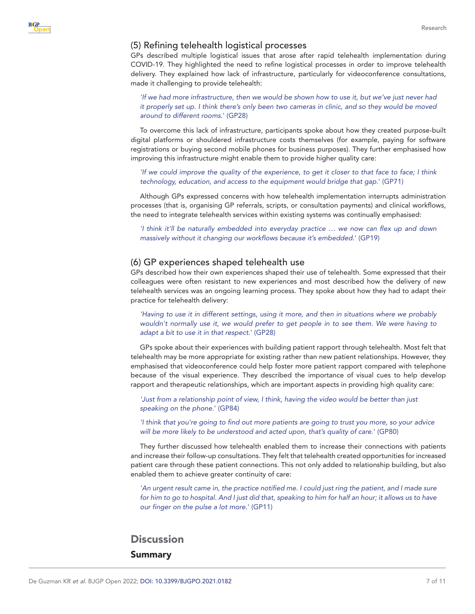#### (5) Refining telehealth logistical processes

**B**GP

GPs described multiple logistical issues that arose after rapid telehealth implementation during COVID-19. They highlighted the need to refine logistical processes in order to improve telehealth delivery. They explained how lack of infrastructure, particularly for videoconference consultations, made it challenging to provide telehealth:

*'If we had more infrastructure, then we would be shown how to use it, but we've just never had it properly set up. I think there's only been two cameras in clinic, and so they would be moved around to different rooms.*' (GP28)

To overcome this lack of infrastructure, participants spoke about how they created purpose-built digital platforms or shouldered infrastructure costs themselves (for example, paying for software registrations or buying second mobile phones for business purposes). They further emphasised how improving this infrastructure might enable them to provide higher quality care:

*'If we could improve the quality of the experience, to get it closer to that face to face; I think technology, education, and access to the equipment would bridge that gap.*' (GP71)

Although GPs expressed concerns with how telehealth implementation interrupts administration processes (that is, organising GP referrals, scripts, or consultation payments) and clinical workflows, the need to integrate telehealth services within existing systems was continually emphasised:

*'I think it'll be naturally embedded into everyday practice … we now can flex up and down massively without it changing our workflows because it's embedded.*' (GP19)

#### (6) GP experiences shaped telehealth use

GPs described how their own experiences shaped their use of telehealth. Some expressed that their colleagues were often resistant to new experiences and most described how the delivery of new telehealth services was an ongoing learning process. They spoke about how they had to adapt their practice for telehealth delivery:

*'Having to use it in different settings, using it more, and then in situations where we probably*  wouldn't normally use it, we would prefer to get people in to see them. We were having to *adapt a bit to use it in that respect.*' (GP28)

GPs spoke about their experiences with building patient rapport through telehealth. Most felt that telehealth may be more appropriate for existing rather than new patient relationships. However, they emphasised that videoconference could help foster more patient rapport compared with telephone because of the visual experience. They described the importance of visual cues to help develop rapport and therapeutic relationships, which are important aspects in providing high quality care:

*'Just from a relationship point of view, I think, having the video would be better than just speaking on the phone.*' (GP84)

*'I think that you're going to find out more patients are going to trust you more, so your advice will be more likely to be understood and acted upon, that's quality of care.*' (GP80)

They further discussed how telehealth enabled them to increase their connections with patients and increase their follow-up consultations. They felt that telehealth created opportunities for increased patient care through these patient connections. This not only added to relationship building, but also enabled them to achieve greater continuity of care:

'An urgent result came in, the practice notified me. I could just ring the patient, and I made sure *for him to go to hospital. And I just did that, speaking to him for half an hour; it allows us to have our finger on the pulse a lot more.*' (GP11)

## **Discussion** Summary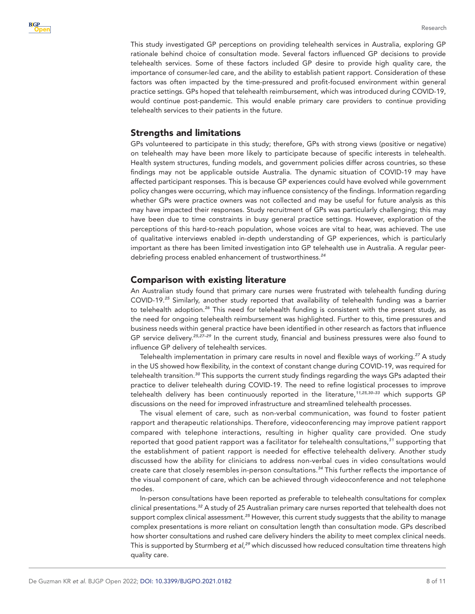This study investigated GP perceptions on providing telehealth services in Australia, exploring GP rationale behind choice of consultation mode. Several factors influenced GP decisions to provide telehealth services. Some of these factors included GP desire to provide high quality care, the importance of consumer-led care, and the ability to establish patient rapport. Consideration of these factors was often impacted by the time-pressured and profit-focused environment within general practice settings. GPs hoped that telehealth reimbursement, which was introduced during COVID-19, would continue post-pandemic. This would enable primary care providers to continue providing telehealth services to their patients in the future.

## Strengths and limitations

GPs volunteered to participate in this study; therefore, GPs with strong views (positive or negative) on telehealth may have been more likely to participate because of specific interests in telehealth. Health system structures, funding models, and government policies differ across countries, so these findings may not be applicable outside Australia. The dynamic situation of COVID-19 may have affected participant responses. This is because GP experiences could have evolved while government policy changes were occurring, which may influence consistency of the findings. Information regarding whether GPs were practice owners was not collected and may be useful for future analysis as this may have impacted their responses. Study recruitment of GPs was particularly challenging; this may have been due to time constraints in busy general practice settings. However, exploration of the perceptions of this hard-to-reach population, whose voices are vital to hear, was achieved. The use of qualitative interviews enabled in-depth understanding of GP experiences, which is particularly important as there has been limited investigation into GP telehealth use in Australia. A regular peerdebriefing process enabled enhancement of trustworthiness.*[24](#page-10-1)*

## Comparison with existing literature

An Australian study found that primary care nurses were frustrated with telehealth funding during COVID-19.*[25](#page-10-2)* Similarly, another study reported that availability of telehealth funding was a barrier to telehealth adoption.*[26](#page-10-3)* This need for telehealth funding is consistent with the present study, as the need for ongoing telehealth reimbursement was highlighted. Further to this, time pressures and business needs within general practice have been identified in other research as factors that influence GP service delivery.*[25,27–29](#page-10-2)* In the current study, financial and business pressures were also found to influence GP delivery of telehealth services.

Telehealth implementation in primary care results in novel and flexible ways of working.*[27](#page-10-4)* A study in the US showed how flexibility, in the context of constant change during COVID-19, was required for telehealth transition.*[30](#page-10-5)* This supports the current study findings regarding the ways GPs adapted their practice to deliver telehealth during COVID-19. The need to refine logistical processes to improve telehealth delivery has been continuously reported in the literature,*[11,25,30–33](#page-9-6)* which supports GP discussions on the need for improved infrastructure and streamlined telehealth processes.

The visual element of care, such as non-verbal communication, was found to foster patient rapport and therapeutic relationships. Therefore, videoconferencing may improve patient rapport compared with telephone interactions, resulting in higher quality care provided. One study reported that good patient rapport was a facilitator for telehealth consultations,*[31](#page-10-6)* supporting that the establishment of patient rapport is needed for effective telehealth delivery. Another study discussed how the ability for clinicians to address non-verbal cues in video consultations would create care that closely resembles in-person consultations.*[34](#page-10-7)* This further reflects the importance of the visual component of care, which can be achieved through videoconference and not telephone modes.

In-person consultations have been reported as preferable to telehealth consultations for complex clinical presentations.*[32](#page-10-8)* A study of 25 Australian primary care nurses reported that telehealth does not support complex clinical assessment.*[25](#page-10-2)* However, this current study suggests that the ability to manage complex presentations is more reliant on consultation length than consultation mode. GPs described how shorter consultations and rushed care delivery hinders the ability to meet complex clinical needs. This is supported by Sturmberg *et al,[29](#page-10-9)* which discussed how reduced consultation time threatens high quality care.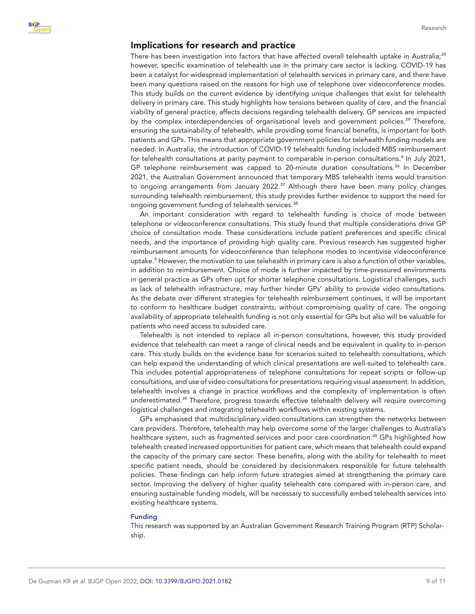#### Implications for research and practice

There has been investigation into factors that have affected overall telehealth uptake in Australia;*[35](#page-10-10)* however, specific examination of telehealth use in the primary care sector is lacking. COVID-19 has been a catalyst for widespread implementation of telehealth services in primary care, and there have been many questions raised on the reasons for high use of telephone over videoconference modes. This study builds on the current evidence by identifying unique challenges that exist for telehealth delivery in primary care. This study highlights how tensions between quality of care, and the financial viability of general practice, affects decisions regarding telehealth delivery. GP services are impacted by the complex interdependencies of organisational levels and government policies.*[29](#page-10-9)* Therefore, ensuring the sustainability of telehealth, while providing some financial benefits, is important for both patients and GPs. This means that appropriate government policies for telehealth funding models are needed. In Australia, the introduction of COVID-19 telehealth funding included MBS reimbursement for telehealth consultations at parity payment to comparable in-person consultations.*[6](#page-9-3)* In July 2021, GP telephone reimbursement was capped to 20-minute duration consultations.*[36](#page-10-11)* In December 2021, the Australian Government announced that temporary MBS telehealth items would transition to ongoing arrangements from January 2022.*[37](#page-10-12)* Although there have been many policy changes surrounding telehealth reimbursement, this study provides further evidence to support the need for ongoing government funding of telehealth services.*[38](#page-10-13)*

An important consideration with regard to telehealth funding is choice of mode between telephone or videoconference consultations. This study found that multiple considerations drive GP choice of consultation mode. These considerations include patient preferences and specific clinical needs, and the importance of providing high quality care. Previous research has suggested higher reimbursement amounts for videoconference than telephone modes to incentivise videoconference uptake.*[5](#page-9-12)* However, the motivation to use telehealth in primary care is also a function of other variables, in addition to reimbursement. Choice of mode is further impacted by time-pressured environments in general practice as GPs often opt for shorter telephone consultations. Logistical challenges, such as lack of telehealth infrastructure, may further hinder GPs' ability to provide video consultations. As the debate over different strategies for telehealth reimbursement continues, it will be important to conform to healthcare budget constraints, without compromising quality of care. The ongoing availability of appropriate telehealth funding is not only essential for GPs but also will be valuable for patients who need access to subsided care.

Telehealth is not intended to replace all in-person consultations, however, this study provided evidence that telehealth can meet a range of clinical needs and be equivalent in quality to in-person care. This study builds on the evidence base for scenarios suited to telehealth consultations, which can help expand the understanding of which clinical presentations are well-suited to telehealth care. This includes potential appropriateness of telephone consultations for repeat scripts or follow-up consultations, and use of video consultations for presentations requiring visual assessment. In addition, telehealth involves a change in practice workflows and the complexity of implementation is often underestimated.*[39](#page-10-14)* Therefore, progress towards effective telehealth delivery will require overcoming logistical challenges and integrating telehealth workflows within existing systems.

GPs emphasised that multidisciplinary video consultations can strengthen the networks between care providers. Therefore, telehealth may help overcome some of the larger challenges to Australia's healthcare system, such as fragmented services and poor care coordination.*[40](#page-10-15)* GPs highlighted how telehealth created increased opportunities for patient care, which means that telehealth could expand the capacity of the primary care sector. These benefits, along with the ability for telehealth to meet specific patient needs, should be considered by decisionmakers responsible for future telehealth policies. These findings can help inform future strategies aimed at strengthening the primary care sector. Improving the delivery of higher quality telehealth care compared with in-person care, and ensuring sustainable funding models, will be necessary to successfully embed telehealth services into existing healthcare systems.

#### Funding

This research was supported by an Australian Government Research Training Program (RTP) Scholarship.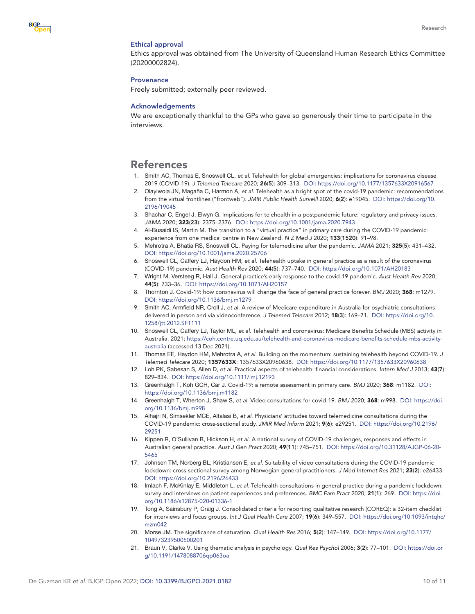#### Ethical approval

Ethics approval was obtained from The University of Queensland Human Research Ethics Committee (20200002824).

#### **Provenance**

Freely submitted; externally peer reviewed.

#### Acknowledgements

We are exceptionally thankful to the GPs who gave so generously their time to participate in the interviews.

## References

- <span id="page-9-0"></span>1. Smith AC, Thomas E, Snoswell CL, *et al*. Telehealth for global emergencies: implications for coronavirus disease 2019 (COVID-19). *J Telemed Telecare* 2020; 26(5): 309–313. DOI: <https://doi.org/10.1177/1357633X20916567>
- <span id="page-9-1"></span>2. Olayiwola JN, Magaña C, Harmon A, *et al*. Telehealth as a bright spot of the covid-19 pandemic: recommendations from the virtual frontlines ("frontweb"). *JMIR Public Health Surveill* 2020; 6(2): e19045. DOI: [https://doi.org/10.](https://doi.org/10.2196/19045) [2196/19045](https://doi.org/10.2196/19045)
- <span id="page-9-2"></span>3. Shachar C, Engel J, Elwyn G. Implications for telehealth in a postpandemic future: regulatory and privacy issues. *JAMA* 2020; 323(23): 2375–2376. DOI:<https://doi.org/10.1001/jama.2020.7943>
- 4. Al-Busaidi IS, Martin M. The transition to a "virtual practice" in primary care during the COVID-19 pandemic: experience from one medical centre in New Zealand. *N Z Med J* 2020; 133(1520): 91–98.
- <span id="page-9-12"></span>5. Mehrotra A, Bhatia RS, Snoswell CL. Paying for telemedicine after the pandemic. *JAMA* 2021; 325(5): 431–432. DOI:<https://doi.org/10.1001/jama.2020.25706>
- <span id="page-9-3"></span>6. Snoswell CL, Caffery LJ, Haydon HM, *et al*. Telehealth uptake in general practice as a result of the coronavirus (COVID-19) pandemic. *Aust Health Rev* 2020; 44(5): 737–740. DOI:<https://doi.org/10.1071/AH20183>
- <span id="page-9-4"></span>7. Wright M, Versteeg R, Hall J. General practice's early response to the covid-19 pandemic. *Aust Health Rev* 2020; 44(5): 733–36. DOI: <https://doi.org/10.1071/AH20157>
- 8. Thornton J. Covid-19: how coronavirus will change the face of general practice forever. *BMJ* 2020; 368: m1279. DOI:<https://doi.org/10.1136/bmj.m1279>
- 9. Smith AC, Armfield NR, Croll J, *et al*. A review of Medicare expenditure in Australia for psychiatric consultations delivered in person and via videoconference. *J Telemed Telecare* 2012; 18(3): 169–71. DOI: [https://doi.org/10.](https://doi.org/10.1258/jtt.2012.SFT111) [1258/jtt.2012.SFT111](https://doi.org/10.1258/jtt.2012.SFT111)
- <span id="page-9-5"></span>10. Snoswell CL, Caffery LJ, Taylor ML, *et al*. Telehealth and coronavirus: Medicare Benefits Schedule (MBS) activity in Australia. 2021; [https://coh.centre.uq.edu.au/telehealth-and-coronavirus-medicare-benefits-schedule-mbs-activity](https://coh.centre.uq.edu.au/telehealth-and-coronavirus-medicare-benefits-schedule-mbs-activity-australia)[australia](https://coh.centre.uq.edu.au/telehealth-and-coronavirus-medicare-benefits-schedule-mbs-activity-australia) (accessed 13 Dec 2021).
- <span id="page-9-6"></span>11. Thomas EE, Haydon HM, Mehrotra A, *et al*. Building on the momentum: sustaining telehealth beyond COVID-19. *J Telemed Telecare* 2020; 1357633X: 1357633X20960638. DOI:<https://doi.org/10.1177/1357633X20960638>
- 12. Loh PK, Sabesan S, Allen D, *et al*. Practical aspects of telehealth: financial considerations. *Intern Med J* 2013; 43(7): 829–834. DOI:<https://doi.org/10.1111/imj.12193>
- <span id="page-9-7"></span>13. Greenhalgh T, Koh GCH, Car J. Covid-19: a remote assessment in primary care. *BMJ* 2020; 368: m1182. DOI: <https://doi.org/10.1136/bmj.m1182>
- 14. Greenhalgh T, Wherton J, Shaw S, *et al*. Video consultations for covid-19. *BMJ* 2020; 368: m998. DOI: [https://doi.](https://doi.org/10.1136/bmj.m998) [org/10.1136/bmj.m998](https://doi.org/10.1136/bmj.m998)
- <span id="page-9-8"></span>15. Alhajri N, Simsekler MCE, Alfalasi B, *et al*. Physicians' attitudes toward telemedicine consultations during the COVID-19 pandemic: cross-sectional study. *JMIR Med Inform* 2021; 9(6): e29251. DOI: [https://doi.org/10.2196/](https://doi.org/10.2196/29251) [29251](https://doi.org/10.2196/29251)
- 16. Kippen R, O'Sullivan B, Hickson H, *et al*. A national survey of COVID-19 challenges, responses and effects in Australian general practice. *Aust J Gen Pract* 2020; 49(11): 745–751. DOI: [https://doi.org/10.31128/AJGP-06-20-](https://doi.org/10.31128/AJGP-06-20-5465) [5465](https://doi.org/10.31128/AJGP-06-20-5465)
- 17. Johnsen TM, Norberg BL, Kristiansen E, *et al*. Suitability of video consultations during the COVID-19 pandemic lockdown: cross-sectional survey among Norwegian general practitioners. *J Med Internet Res* 2021; 23(2): e26433. DOI:<https://doi.org/10.2196/26433>
- 18. Imlach F, McKinlay E, Middleton L, *et al*. Telehealth consultations in general practice during a pandemic lockdown: survey and interviews on patient experiences and preferences. *BMC Fam Pract* 2020; 21(1): 269. DOI: [https://doi.](https://doi.org/10.1186/s12875-020-01336-1) [org/10.1186/s12875-020-01336-1](https://doi.org/10.1186/s12875-020-01336-1)
- <span id="page-9-9"></span>19. Tong A, Sainsbury P, Craig J. Consolidated criteria for reporting qualitative research (COREQ): a 32-item checklist for interviews and focus groups. *Int J Qual Health Care* 2007; 19(6): 349–557. DOI: [https://doi.org/10.1093/intqhc/](https://doi.org/10.1093/intqhc/mzm042) [mzm042](https://doi.org/10.1093/intqhc/mzm042)
- <span id="page-9-10"></span>20. Morse JM. The significance of saturation. *Qual Health Res* 2016; 5(2): 147–149. DOI: [https://doi.org/10.1177/](https://doi.org/10.1177/104973239500500201) [104973239500500201](https://doi.org/10.1177/104973239500500201)
- <span id="page-9-11"></span>21. Braun V, Clarke V. Using thematic analysis in psychology. *Qual Res Psychol* 2006; 3(2): 77–101. DOI: [https://doi.or](https://doi.org/10.1191/1478088706qp063oa) [g/10.1191/1478088706qp063oa](https://doi.org/10.1191/1478088706qp063oa)